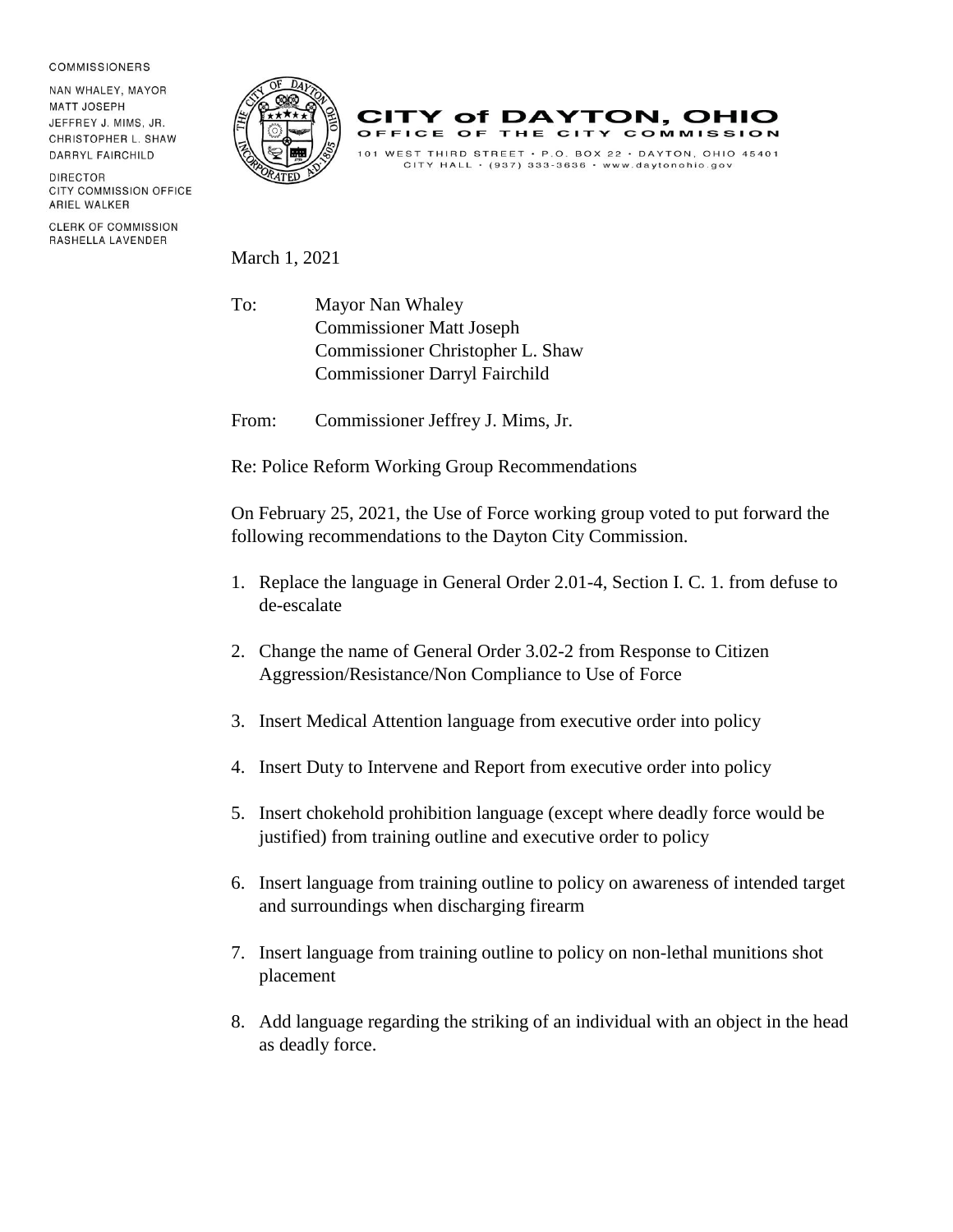## **COMMISSIONERS**

NAN WHALEY, MAYOR **MATT JOSEPH** JEFFREY J. MIMS, JR. CHRISTOPHER L. SHAW DARRYL FAIRCHILD

DIRECTOR **CITY COMMISSION OFFICE** ARIEL WALKER

**CLERK OF COMMISSION** RASHELLA LAVENDER





March 1, 2021

To: Mayor Nan Whaley Commissioner Matt Joseph Commissioner Christopher L. Shaw Commissioner Darryl Fairchild

From: Commissioner Jeffrey J. Mims, Jr.

Re: Police Reform Working Group Recommendations

On February 25, 2021, the Use of Force working group voted to put forward the following recommendations to the Dayton City Commission.

- 1. Replace the language in General Order 2.01-4, Section I. C. 1. from defuse to de-escalate
- 2. Change the name of General Order 3.02-2 from Response to Citizen Aggression/Resistance/Non Compliance to Use of Force
- 3. Insert Medical Attention language from executive order into policy
- 4. Insert Duty to Intervene and Report from executive order into policy
- 5. Insert chokehold prohibition language (except where deadly force would be justified) from training outline and executive order to policy
- 6. Insert language from training outline to policy on awareness of intended target and surroundings when discharging firearm
- 7. Insert language from training outline to policy on non-lethal munitions shot placement
- 8. Add language regarding the striking of an individual with an object in the head as deadly force.